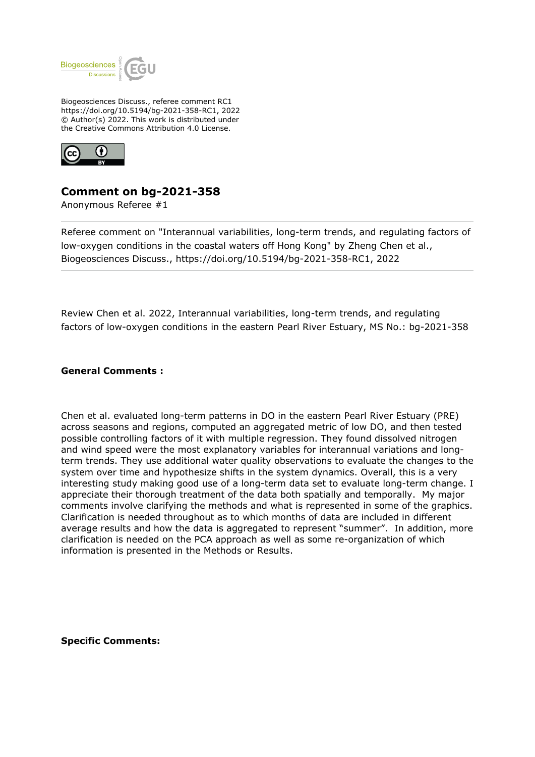

Biogeosciences Discuss., referee comment RC1 https://doi.org/10.5194/bg-2021-358-RC1, 2022 © Author(s) 2022. This work is distributed under the Creative Commons Attribution 4.0 License.



## **Comment on bg-2021-358**

Anonymous Referee #1

Referee comment on "Interannual variabilities, long-term trends, and regulating factors of low-oxygen conditions in the coastal waters off Hong Kong" by Zheng Chen et al., Biogeosciences Discuss., https://doi.org/10.5194/bg-2021-358-RC1, 2022

Review Chen et al. 2022, Interannual variabilities, long-term trends, and regulating factors of low-oxygen conditions in the eastern Pearl River Estuary, MS No.: bg-2021-358

## **General Comments :**

Chen et al. evaluated long-term patterns in DO in the eastern Pearl River Estuary (PRE) across seasons and regions, computed an aggregated metric of low DO, and then tested possible controlling factors of it with multiple regression. They found dissolved nitrogen and wind speed were the most explanatory variables for interannual variations and longterm trends. They use additional water quality observations to evaluate the changes to the system over time and hypothesize shifts in the system dynamics. Overall, this is a very interesting study making good use of a long-term data set to evaluate long-term change. I appreciate their thorough treatment of the data both spatially and temporally. My major comments involve clarifying the methods and what is represented in some of the graphics. Clarification is needed throughout as to which months of data are included in different average results and how the data is aggregated to represent "summer". In addition, more clarification is needed on the PCA approach as well as some re-organization of which information is presented in the Methods or Results.

**Specific Comments:**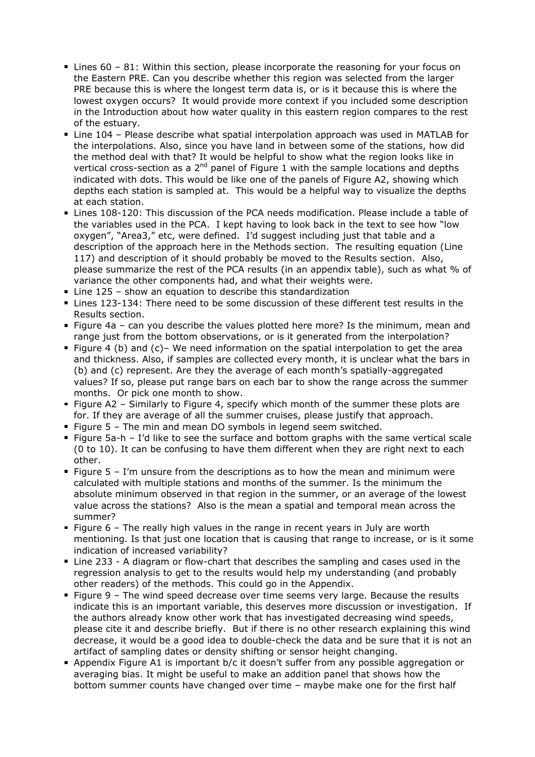- Lines 60 81: Within this section, please incorporate the reasoning for your focus on the Eastern PRE. Can you describe whether this region was selected from the larger PRE because this is where the longest term data is, or is it because this is where the lowest oxygen occurs? It would provide more context if you included some description in the Introduction about how water quality in this eastern region compares to the rest of the estuary.
- Line 104 Please describe what spatial interpolation approach was used in MATLAB for the interpolations. Also, since you have land in between some of the stations, how did the method deal with that? It would be helpful to show what the region looks like in vertical cross-section as a  $2<sup>nd</sup>$  panel of Figure 1 with the sample locations and depths indicated with dots. This would be like one of the panels of Figure A2, showing which depths each station is sampled at. This would be a helpful way to visualize the depths at each station.
- Lines 108-120: This discussion of the PCA needs modification. Please include a table of the variables used in the PCA. I kept having to look back in the text to see how "low oxygen", "Area3," etc, were defined. I'd suggest including just that table and a description of the approach here in the Methods section. The resulting equation (Line 117) and description of it should probably be moved to the Results section. Also, please summarize the rest of the PCA results (in an appendix table), such as what % of variance the other components had, and what their weights were.
- Line 125 show an equation to describe this standardization
- Lines 123-134: There need to be some discussion of these different test results in the Results section.
- Figure 4a can you describe the values plotted here more? Is the minimum, mean and range just from the bottom observations, or is it generated from the interpolation?
- Figure 4 (b) and  $(c)$  We need information on the spatial interpolation to get the area and thickness. Also, if samples are collected every month, it is unclear what the bars in (b) and (c) represent. Are they the average of each month's spatially-aggregated values? If so, please put range bars on each bar to show the range across the summer months. Or pick one month to show.
- Figure A2 Similarly to Figure 4, specify which month of the summer these plots are for. If they are average of all the summer cruises, please justify that approach.
- Figure  $5$  The min and mean DO symbols in legend seem switched.
- Figure 5a-h I'd like to see the surface and bottom graphs with the same vertical scale (0 to 10). It can be confusing to have them different when they are right next to each other.
- Figure  $5 I/m$  unsure from the descriptions as to how the mean and minimum were calculated with multiple stations and months of the summer. Is the minimum the absolute minimum observed in that region in the summer, or an average of the lowest value across the stations? Also is the mean a spatial and temporal mean across the summer?
- Figure  $6$  The really high values in the range in recent years in July are worth mentioning. Is that just one location that is causing that range to increase, or is it some indication of increased variability?
- Line 233 A diagram or flow-chart that describes the sampling and cases used in the regression analysis to get to the results would help my understanding (and probably other readers) of the methods. This could go in the Appendix.
- Figure 9 The wind speed decrease over time seems very large. Because the results indicate this is an important variable, this deserves more discussion or investigation. If the authors already know other work that has investigated decreasing wind speeds, please cite it and describe briefly. But if there is no other research explaining this wind decrease, it would be a good idea to double-check the data and be sure that it is not an artifact of sampling dates or density shifting or sensor height changing.
- Appendix Figure A1 is important b/c it doesn't suffer from any possible aggregation or averaging bias. It might be useful to make an addition panel that shows how the bottom summer counts have changed over time – maybe make one for the first half